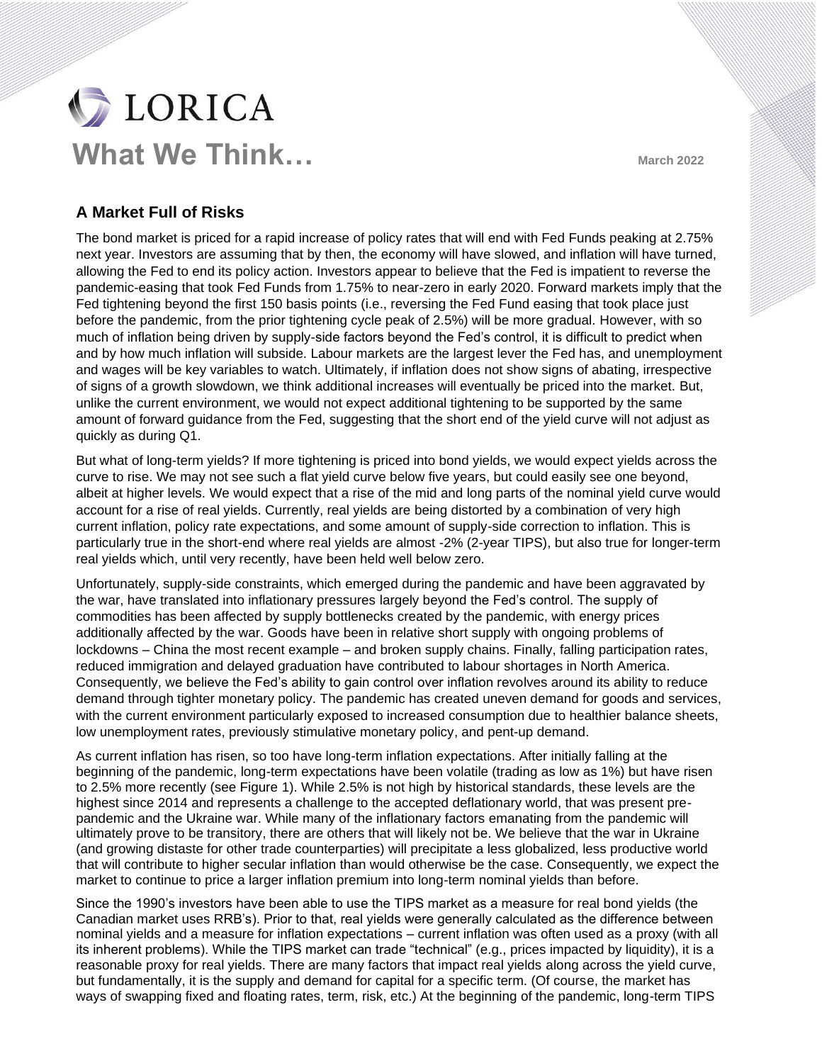

## **A Market Full of Risks**

The bond market is priced for a rapid increase of policy rates that will end with Fed Funds peaking at 2.75% next year. Investors are assuming that by then, the economy will have slowed, and inflation will have turned, allowing the Fed to end its policy action. Investors appear to believe that the Fed is impatient to reverse the pandemic-easing that took Fed Funds from 1.75% to near-zero in early 2020. Forward markets imply that the Fed tightening beyond the first 150 basis points (i.e., reversing the Fed Fund easing that took place just before the pandemic, from the prior tightening cycle peak of 2.5%) will be more gradual. However, with so much of inflation being driven by supply-side factors beyond the Fed's control, it is difficult to predict when and by how much inflation will subside. Labour markets are the largest lever the Fed has, and unemployment and wages will be key variables to watch. Ultimately, if inflation does not show signs of abating, irrespective of signs of a growth slowdown, we think additional increases will eventually be priced into the market. But, unlike the current environment, we would not expect additional tightening to be supported by the same amount of forward guidance from the Fed, suggesting that the short end of the yield curve will not adjust as quickly as during Q1.

But what of long-term yields? If more tightening is priced into bond yields, we would expect yields across the curve to rise. We may not see such a flat yield curve below five years, but could easily see one beyond, albeit at higher levels. We would expect that a rise of the mid and long parts of the nominal yield curve would account for a rise of real yields. Currently, real yields are being distorted by a combination of very high current inflation, policy rate expectations, and some amount of supply-side correction to inflation. This is particularly true in the short-end where real yields are almost -2% (2-year TIPS), but also true for longer-term real yields which, until very recently, have been held well below zero.

Unfortunately, supply-side constraints, which emerged during the pandemic and have been aggravated by the war, have translated into inflationary pressures largely beyond the Fed's control. The supply of commodities has been affected by supply bottlenecks created by the pandemic, with energy prices additionally affected by the war. Goods have been in relative short supply with ongoing problems of lockdowns – China the most recent example – and broken supply chains. Finally, falling participation rates, reduced immigration and delayed graduation have contributed to labour shortages in North America. Consequently, we believe the Fed's ability to gain control over inflation revolves around its ability to reduce demand through tighter monetary policy. The pandemic has created uneven demand for goods and services, with the current environment particularly exposed to increased consumption due to healthier balance sheets, low unemployment rates, previously stimulative monetary policy, and pent-up demand.

As current inflation has risen, so too have long-term inflation expectations. After initially falling at the beginning of the pandemic, long-term expectations have been volatile (trading as low as 1%) but have risen to 2.5% more recently (see Figure 1). While 2.5% is not high by historical standards, these levels are the highest since 2014 and represents a challenge to the accepted deflationary world, that was present prepandemic and the Ukraine war. While many of the inflationary factors emanating from the pandemic will ultimately prove to be transitory, there are others that will likely not be. We believe that the war in Ukraine (and growing distaste for other trade counterparties) will precipitate a less globalized, less productive world that will contribute to higher secular inflation than would otherwise be the case. Consequently, we expect the market to continue to price a larger inflation premium into long-term nominal yields than before.

Since the 1990's investors have been able to use the TIPS market as a measure for real bond yields (the Canadian market uses RRB's). Prior to that, real yields were generally calculated as the difference between nominal yields and a measure for inflation expectations – current inflation was often used as a proxy (with all its inherent problems). While the TIPS market can trade "technical" (e.g., prices impacted by liquidity), it is a reasonable proxy for real yields. There are many factors that impact real yields along across the yield curve, but fundamentally, it is the supply and demand for capital for a specific term. (Of course, the market has ways of swapping fixed and floating rates, term, risk, etc.) At the beginning of the pandemic, long-term TIPS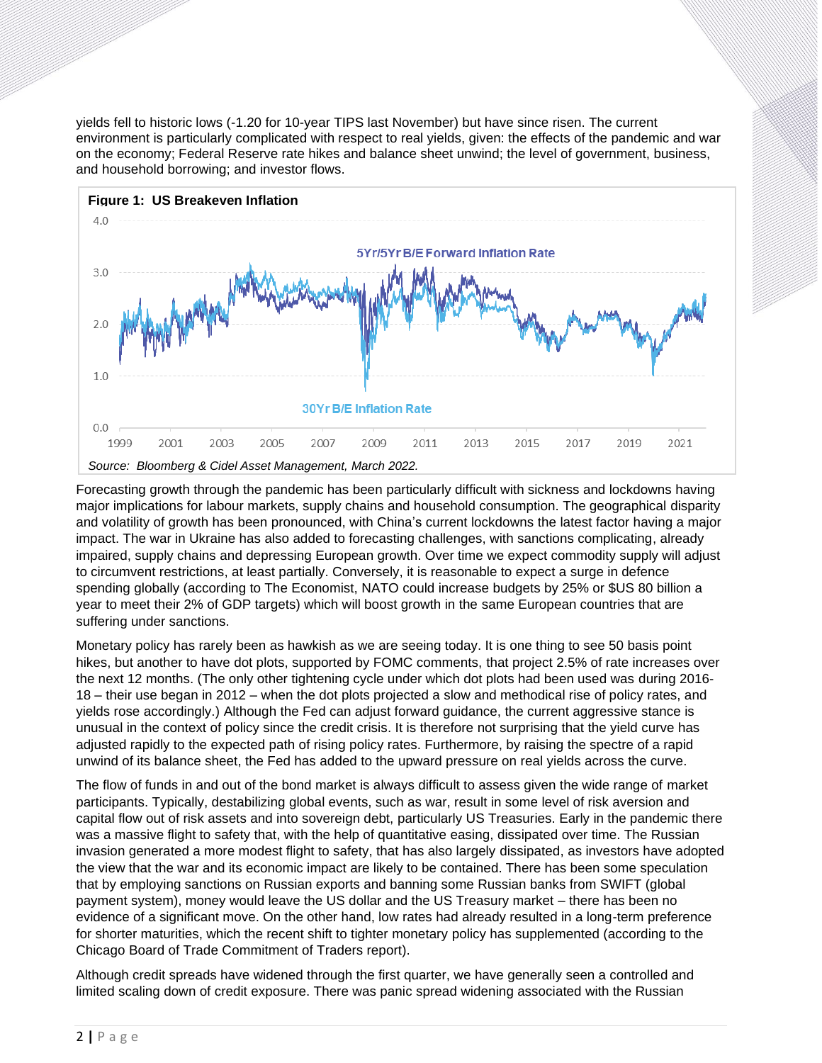yields fell to historic lows (-1.20 for 10-year TIPS last November) but have since risen. The current environment is particularly complicated with respect to real yields, given: the effects of the pandemic and war on the economy; Federal Reserve rate hikes and balance sheet unwind; the level of government, business, and household borrowing; and investor flows.



Forecasting growth through the pandemic has been particularly difficult with sickness and lockdowns having major implications for labour markets, supply chains and household consumption. The geographical disparity and volatility of growth has been pronounced, with China's current lockdowns the latest factor having a major impact. The war in Ukraine has also added to forecasting challenges, with sanctions complicating, already impaired, supply chains and depressing European growth. Over time we expect commodity supply will adjust to circumvent restrictions, at least partially. Conversely, it is reasonable to expect a surge in defence spending globally (according to The Economist, NATO could increase budgets by 25% or \$US 80 billion a year to meet their 2% of GDP targets) which will boost growth in the same European countries that are suffering under sanctions.

Monetary policy has rarely been as hawkish as we are seeing today. It is one thing to see 50 basis point hikes, but another to have dot plots, supported by FOMC comments, that project 2.5% of rate increases over the next 12 months. (The only other tightening cycle under which dot plots had been used was during 2016- 18 – their use began in 2012 – when the dot plots projected a slow and methodical rise of policy rates, and yields rose accordingly.) Although the Fed can adjust forward guidance, the current aggressive stance is unusual in the context of policy since the credit crisis. It is therefore not surprising that the yield curve has adjusted rapidly to the expected path of rising policy rates. Furthermore, by raising the spectre of a rapid unwind of its balance sheet, the Fed has added to the upward pressure on real yields across the curve.

The flow of funds in and out of the bond market is always difficult to assess given the wide range of market participants. Typically, destabilizing global events, such as war, result in some level of risk aversion and capital flow out of risk assets and into sovereign debt, particularly US Treasuries. Early in the pandemic there was a massive flight to safety that, with the help of quantitative easing, dissipated over time. The Russian invasion generated a more modest flight to safety, that has also largely dissipated, as investors have adopted the view that the war and its economic impact are likely to be contained. There has been some speculation that by employing sanctions on Russian exports and banning some Russian banks from SWIFT (global payment system), money would leave the US dollar and the US Treasury market – there has been no evidence of a significant move. On the other hand, low rates had already resulted in a long-term preference for shorter maturities, which the recent shift to tighter monetary policy has supplemented (according to the Chicago Board of Trade Commitment of Traders report).

Although credit spreads have widened through the first quarter, we have generally seen a controlled and limited scaling down of credit exposure. There was panic spread widening associated with the Russian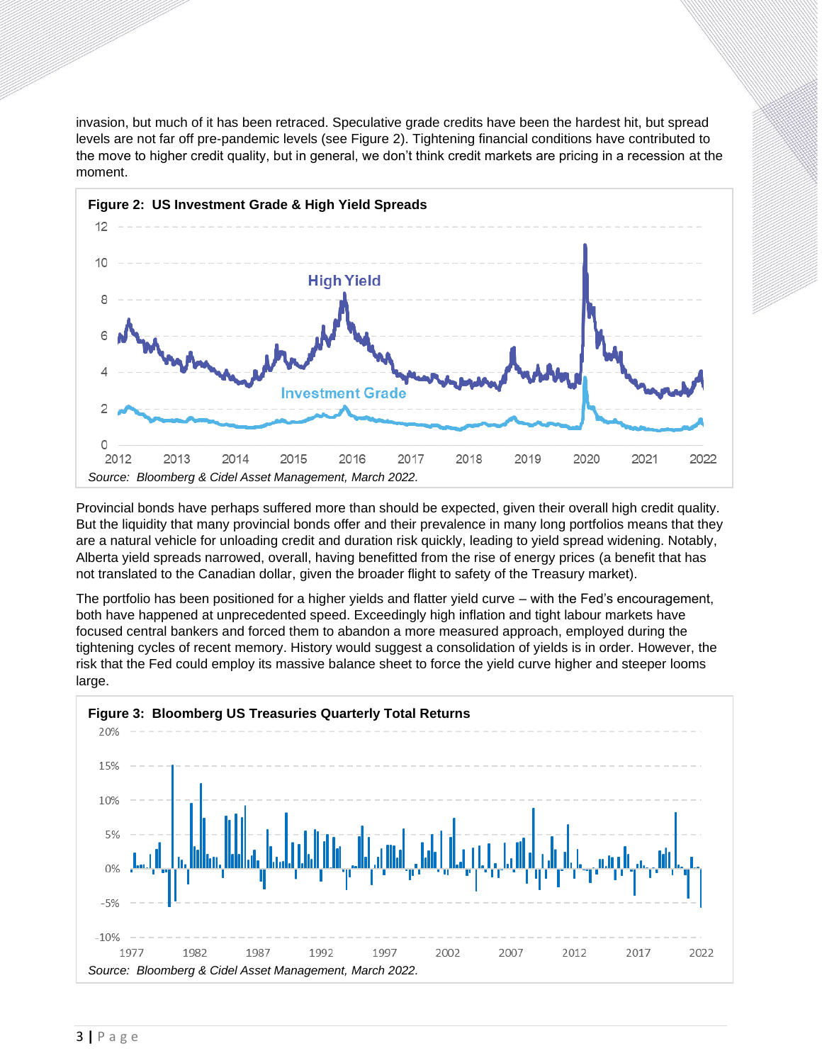invasion, but much of it has been retraced. Speculative grade credits have been the hardest hit, but spread levels are not far off pre-pandemic levels (see Figure 2). Tightening financial conditions have contributed to the move to higher credit quality, but in general, we don't think credit markets are pricing in a recession at the moment.



Provincial bonds have perhaps suffered more than should be expected, given their overall high credit quality. But the liquidity that many provincial bonds offer and their prevalence in many long portfolios means that they are a natural vehicle for unloading credit and duration risk quickly, leading to yield spread widening. Notably, Alberta yield spreads narrowed, overall, having benefitted from the rise of energy prices (a benefit that has not translated to the Canadian dollar, given the broader flight to safety of the Treasury market).

The portfolio has been positioned for a higher yields and flatter yield curve – with the Fed's encouragement, both have happened at unprecedented speed. Exceedingly high inflation and tight labour markets have focused central bankers and forced them to abandon a more measured approach, employed during the tightening cycles of recent memory. History would suggest a consolidation of yields is in order. However, the risk that the Fed could employ its massive balance sheet to force the yield curve higher and steeper looms large.